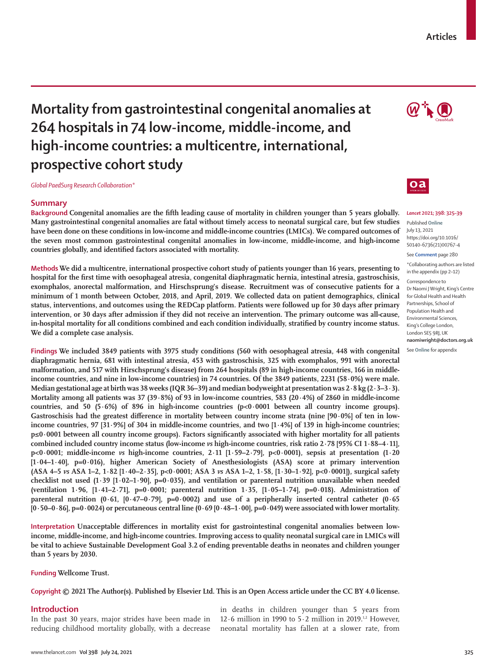# **Mortality from gastrointestinal congenital anomalies at 264 hospitals in 74 low-income, middle-income, and high-income countries: a multicentre, international, prospective cohort study**

*Global PaedSurg Research Collaboration\**

# **Summary**

**Background Congenital anomalies are the fifth leading cause of mortality in children younger than 5 years globally. Many gastrointestinal congenital anomalies are fatal without timely access to neonatal surgical care, but few studies have been done on these conditions in low-income and middle-income countries (LMICs). We compared outcomes of the seven most common gastrointestinal congenital anomalies in low-income, middle-income, and high-income countries globally, and identified factors associated with mortality.**

**Methods We did a multicentre, international prospective cohort study of patients younger than 16 years, presenting to hospital for the first time with oesophageal atresia, congenital diaphragmatic hernia, intestinal atresia, gastroschisis, exomphalos, anorectal malformation, and Hirschsprung's disease. Recruitment was of consecutive patients for a minimum of 1 month between October, 2018, and April, 2019. We collected data on patient demographics, clinical status, interventions, and outcomes using the REDCap platform. Patients were followed up for 30 days after primary intervention, or 30 days after admission if they did not receive an intervention. The primary outcome was all-cause, in-hospital mortality for all conditions combined and each condition individually, stratified by country income status. We did a complete case analysis.**

**Findings We included 3849 patients with 3975 study conditions (560 with oesophageal atresia, 448 with congenital diaphragmatic hernia, 681 with intestinal atresia, 453 with gastroschisis, 325 with exomphalos, 991 with anorectal malformation, and 517 with Hirschsprung's disease) from 264 hospitals (89 in high-income countries, 166 in middleincome countries, and nine in low-income countries) in 74 countries. Of the 3849 patients, 2231 (58·0%) were male. Median gestational age at birth was 38 weeks (IQR 36–39) and median bodyweight at presentation was 2·8 kg (2·3–3·3). Mortality among all patients was 37 (39·8%) of 93 in low-income countries, 583 (20·4%) of 2860 in middle-income countries, and 50 (5·6%) of 896 in high-income countries (p<0·0001 between all country income groups).**  Gastroschisis had the greatest difference in mortality between country income strata (nine [90·0%] of ten in low**income countries, 97 [31·9%] of 304 in middle-income countries, and two [1·4%] of 139 in high-income countries; p≤0·0001 between all country income groups). Factors significantly associated with higher mortality for all patients combined included country income status (low-income** *vs* **high-income countries, risk ratio 2·78 [95% CI 1·88–4·11], p<0·0001; middle-income** *vs* **high-income countries, 2·11 [1·59–2·79], p<0·0001), sepsis at presentation (1·20 [1·04–1·40], p=0·016), higher American Society of Anesthesiologists (ASA) score at primary intervention (ASA 4–5** *vs* **ASA 1–2, 1·82 [1·40–2·35], p<0·0001; ASA 3** *vs* **ASA 1–2, 1·58, [1·30–1·92], p<0·0001]), surgical safety checklist not used (1·39 [1·02–1·90], p=0·035), and ventilation or parenteral nutrition unavailable when needed (ventilation 1·96, [1·41–2·71], p=0·0001; parenteral nutrition 1·35, [1·05–1·74], p=0·018). Administration of parenteral nutrition (0·61, [0·47–0·79], p=0·0002) and use of a peripherally inserted central catheter (0·65 [0·50–0·86], p=0·0024) or percutaneous central line (0·69 [0·48–1·00], p=0·049) were associated with lower mortality.**

**Interpretation Unacceptable differences in mortality exist for gastrointestinal congenital anomalies between lowincome, middle-income, and high-income countries. Improving access to quality neonatal surgical care in LMICs will be vital to achieve Sustainable Development Goal 3.2 of ending preventable deaths in neonates and children younger than 5 years by 2030.**

**Funding Wellcome Trust.**

**Copyright© 2021 The Author(s). Published by Elsevier Ltd. This is an Open Access article under the CC BY 4.0 license.**

## **Introduction**

In the past 30 years, major strides have been made in reducing childhood mortality globally, with a decrease in deaths in children younger than 5 years from 12 $\cdot$ 6 million in 1990 to 5 $\cdot$ 2 million in 2019.<sup>1,2</sup> However, neonatal mortality has fallen at a slower rate, from





#### *Lancet* **2021; 398: 325–39**

Published **Online** July 13, 2021 https://doi.org/10.1016/ S0140-6736(21)00767-4

See **Comment** page 280

\*Collaborating authors are listed in the appendix (pp 2–12) Correspondence to Dr Naomi J Wright, King's Centre for Global Health and Health Partnerships, School of Population Health and Environmental Sciences, King's College London, London SE5 9RJ, UK **naomiwright@doctors.org.uk**

See **Online** for appendix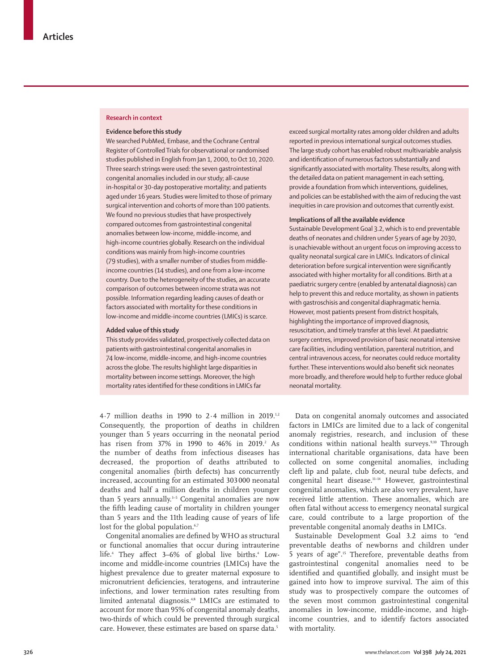#### **Research in context**

#### **Evidence before this study**

We searched PubMed, Embase, and the Cochrane Central Register of Controlled Trials for observational or randomised studies published in English from Jan 1, 2000, to Oct 10, 2020. Three search strings were used: the seven gastrointestinal congenital anomalies included in our study; all-cause in-hospital or 30-day postoperative mortality; and patients aged under 16 years. Studies were limited to those of primary surgical intervention and cohorts of more than 100 patients. We found no previous studies that have prospectively compared outcomes from gastrointestinal congenital anomalies between low-income, middle-income, and high-income countries globally. Research on the individual conditions was mainly from high-income countries (79 studies), with a smaller number of studies from middleincome countries (14 studies), and one from a low-income country. Due to the heterogeneity of the studies, an accurate comparison of outcomes between income strata was not possible. Information regarding leading causes of death or factors associated with mortality for these conditions in low-income and middle-income countries (LMICs) is scarce.

#### **Added value of this study**

This study provides validated, prospectively collected data on patients with gastrointestinal congenital anomalies in 74 low-income, middle-income, and high-income countries across the globe. The results highlight large disparities in mortality between income settings. Moreover, the high mortality rates identified for these conditions in LMICs far

4·7 million deaths in 1990 to 2·4 million in 2019.1,2 Consequently, the proportion of deaths in children younger than 5 years occurring in the neonatal period has risen from 37% in 1990 to 46% in 2019.<sup>2</sup> As the number of deaths from infectious diseases has decreased, the proportion of deaths attributed to congenital anomalies (birth defects) has concurrently increased, accounting for an estimated 303 000 neonatal deaths and half a million deaths in children younger than 5 years annually.<sup>3-5</sup> Congenital anomalies are now the fifth leading cause of mortality in children younger than 5 years and the 11th leading cause of years of life lost for the global population.<sup>6,7</sup>

Congenital anomalies are defined by WHO as structural or functional anomalies that occur during intrauterine life.<sup>4</sup> They affect 3–6% of global live births.<sup>4</sup> Lowincome and middle-income countries (LMICs) have the highest prevalence due to greater maternal exposure to micronutrient deficiencies, teratogens, and intrauterine infections, and lower termination rates resulting from limited antenatal diagnosis.<sup>4,8</sup> LMICs are estimated to account for more than 95% of congenital anomaly deaths, two-thirds of which could be prevented through surgical care. However, these estimates are based on sparse data.<sup>5</sup>

exceed surgical mortality rates among older children and adults reported in previous international surgical outcomes studies. The large study cohort has enabled robust multivariable analysis and identification of numerous factors substantially and significantly associated with mortality. These results, along with the detailed data on patient management in each setting, provide a foundation from which interventions, guidelines, and policies can be established with the aim of reducing the vast inequities in care provision and outcomes that currently exist.

## **Implications of all the available evidence**

Sustainable Development Goal 3.2, which is to end preventable deaths of neonates and children under 5 years of age by 2030, is unachievable without an urgent focus on improving access to quality neonatal surgical care in LMICs. Indicators of clinical deterioration before surgical intervention were significantly associated with higher mortality for all conditions. Birth at a paediatric surgery centre (enabled by antenatal diagnosis) can help to prevent this and reduce mortality, as shown in patients with gastroschisis and congenital diaphragmatic hernia. However, most patients present from district hospitals, highlighting the importance of improved diagnosis, resuscitation, and timely transfer at this level. At paediatric surgery centres, improved provision of basic neonatal intensive care facilities, including ventilation, parenteral nutrition, and central intravenous access, for neonates could reduce mortality further. These interventions would also benefit sick neonates more broadly, and therefore would help to further reduce global neonatal mortality.

Data on congenital anomaly outcomes and associated factors in LMICs are limited due to a lack of congenital anomaly registries, research, and inclusion of these conditions within national health surveys.<sup>9,10</sup> Through international charitable organisations, data have been collected on some congenital anomalies, including cleft lip and palate, club foot, neural tube defects, and congenital heart disease.11–14 However, gastrointestinal congenital anomalies, which are also very prevalent, have received little attention. These anomalies, which are often fatal without access to emergency neonatal surgical care, could contribute to a large proportion of the preventable congenital anomaly deaths in LMICs.

Sustainable Development Goal 3.2 aims to "end preventable deaths of newborns and children under 5 years of age".15 Therefore, preventable deaths from gastrointestinal congenital anomalies need to be identified and quantified globally, and insight must be gained into how to improve survival. The aim of this study was to prospectively compare the outcomes of the seven most common gastrointestinal congenital anomalies in low-income, middle-income, and highincome countries, and to identify factors associated with mortality.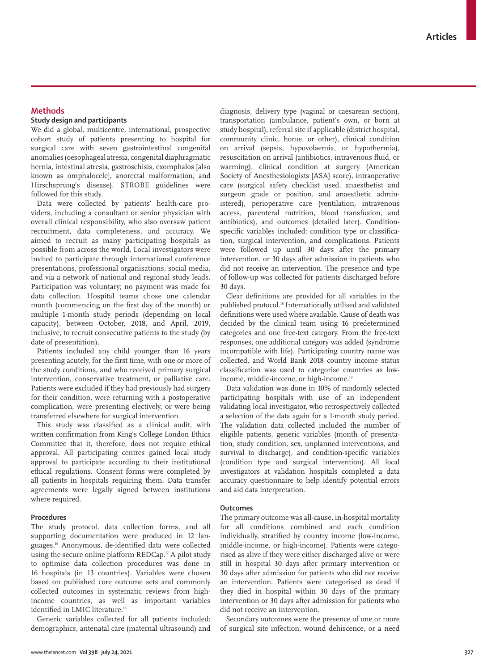# **Methods**

# **Study design and participants**

We did a global, multicentre, international, prospective cohort study of patients presenting to hospital for surgical care with seven gastrointestinal congenital anomalies (oesophageal atresia, congenital diaphragmatic hernia, intestinal atresia, gastroschisis, exomphalos [also known as omphalocele], anorectal malformation, and Hirschsprung's disease). STROBE guidelines were followed for this study.

Data were collected by patients' health-care providers, including a consultant or senior physician with overall clinical responsibility, who also oversaw patient recruitment, data completeness, and accuracy. We aimed to recruit as many participating hospitals as possible from across the world. Local investigators were invited to participate through international conference presentations, professional organisations, social media, and via a network of national and regional study leads. Participation was voluntary; no payment was made for data collection. Hospital teams chose one calendar month (commencing on the first day of the month) or multiple 1-month study periods (depending on local capacity), between October, 2018, and April, 2019, inclusive, to recruit consecutive patients to the study (by date of presentation).

Patients included any child younger than 16 years presenting acutely, for the first time, with one or more of the study conditions, and who received primary surgical intervention, conservative treatment, or palliative care. Patients were excluded if they had previously had surgery for their condition, were returning with a postoperative complication, were presenting electively, or were being transferred elsewhere for surgical intervention.

This study was classified as a clinical audit, with written confirmation from King's College London Ethics Committee that it, therefore, does not require ethical approval. All participating centres gained local study approval to participate according to their institutional ethical regulations. Consent forms were completed by all patients in hospitals requiring them. Data transfer agreements were legally signed between institutions where required.

## **Procedures**

The study protocol, data collection forms, and all supporting documentation were produced in 12 languages.16 Anonymous, de-identified data were collected using the secure online platform REDCap.<sup>17</sup> A pilot study to optimise data collection procedures was done in 16 hospitals (in 13 countries). Variables were chosen based on published core outcome sets and commonly collected outcomes in systematic reviews from highincome countries, as well as important variables identified in LMIC literature.<sup>18</sup>

Generic variables collected for all patients included: demographics, antenatal care (maternal ultrasound) and diagnosis, delivery type (vaginal or caesarean section), transportation (ambulance, patient's own, or born at study hospital), referral site if applicable (district hospital, community clinic, home, or other), clinical condition on arrival (sepsis, hypovolaemia, or hypothermia), resuscitation on arrival (antibiotics, intravenous fluid, or warming), clinical condition at surgery (American Society of Anesthesiologists [ASA] score), intraoperative care (surgical safety checklist used, anaesthetist and surgeon grade or position, and anaesthetic administered), perioperative care (ventilation, intravenous access, parenteral nutrition, blood transfusion, and antibiotics), and outcomes (detailed later). Conditionspecific variables included: condition type or classification, surgical intervention, and complications. Patients were followed up until 30 days after the primary intervention, or 30 days after admission in patients who did not receive an intervention. The presence and type of follow-up was collected for patients discharged before 30 days.

Clear definitions are provided for all variables in the published protocol.<sup>18</sup> Internationally utilised and validated definitions were used where available. Cause of death was decided by the clinical team using 16 predetermined categories and one free-text category. From the free-text responses, one additional category was added (syndrome incompatible with life). Participating country name was collected, and World Bank 2018 country income status classification was used to categorise countries as lowincome, middle-income, or high-income.<sup>19</sup>

Data validation was done in 10% of randomly selected participating hospitals with use of an independent validating local investigator, who retrospectively collected a selection of the data again for a 1-month study period. The validation data collected included the number of eligible patients, generic variables (month of presentation, study condition, sex, unplanned interventions, and survival to discharge), and condition-specific variables (condition type and surgical intervention). All local investigators at validation hospitals completed a data accuracy questionnaire to help identify potential errors and aid data interpretation.

## **Outcomes**

The primary outcome was all-cause, in-hospital mortality for all conditions combined and each condition individually, stratified by country income (low-income, middle-income, or high-income). Patients were categorised as alive if they were either discharged alive or were still in hospital 30 days after primary intervention or 30 days after admission for patients who did not receive an intervention. Patients were categorised as dead if they died in hospital within 30 days of the primary intervention or 30 days after admission for patients who did not receive an intervention.

Secondary outcomes were the presence of one or more of surgical site infection, wound dehiscence, or a need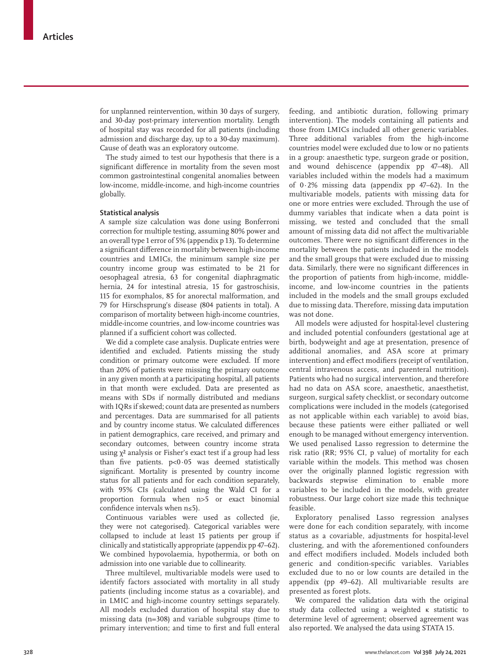for unplanned reintervention, within 30 days of surgery, and 30-day post-primary intervention mortality. Length of hospital stay was recorded for all patients (including admission and discharge day, up to a 30-day maximum). Cause of death was an exploratory outcome.

The study aimed to test our hypothesis that there is a significant difference in mortality from the seven most common gastrointestinal congenital anomalies between low-income, middle-income, and high-income countries globally.

#### **Statistical analysis**

A sample size calculation was done using Bonferroni correction for multiple testing, assuming 80% power and an overall type 1 error of 5% (appendix p 13). To determine a significant difference in mortality between high-income countries and LMICs, the minimum sample size per country income group was estimated to be 21 for oesophageal atresia, 63 for congenital diaphragmatic hernia, 24 for intestinal atresia, 15 for gastroschisis, 115 for exomphalos, 85 for anorectal malformation, and 79 for Hirschsprung's disease (804 patients in total). A comparison of mortality between high-income countries, middle-income countries, and low-income countries was planned if a sufficient cohort was collected.

We did a complete case analysis. Duplicate entries were identified and excluded. Patients missing the study condition or primary outcome were excluded. If more than 20% of patients were missing the primary outcome in any given month at a participating hospital, all patients in that month were excluded. Data are presented as means with SDs if normally distributed and medians with IQRs if skewed; count data are presented as numbers and percentages. Data are summarised for all patients and by country income status. We calculated differences in patient demographics, care received, and primary and secondary outcomes, between country income strata using  $χ²$  analysis or Fisher's exact test if a group had less than five patients. p<0·05 was deemed statistically significant. Mortality is presented by country income status for all patients and for each condition separately, with 95% CIs (calculated using the Wald CI for a proportion formula when n>5 or exact binomial confidence intervals when n≤5).

Continuous variables were used as collected (ie, they were not categorised). Categorical variables were collapsed to include at least 15 patients per group if clinically and statistically appropriate (appendix pp 47–62). We combined hypovolaemia, hypothermia, or both on admission into one variable due to collinearity.

Three multilevel, multivariable models were used to identify factors associated with mortality in all study patients (including income status as a covariable), and in LMIC and high-income country settings separately. All models excluded duration of hospital stay due to missing data (n=308) and variable subgroups (time to primary intervention; and time to first and full enteral feeding, and antibiotic duration, following primary intervention). The models containing all patients and those from LMICs included all other generic variables. Three additional variables from the high-income countries model were excluded due to low or no patients in a group: anaesthetic type, surgeon grade or position, and wound dehiscence (appendix pp 47–48). All variables included within the models had a maximum of 0·2% missing data (appendix pp 47–62). In the multivariable models, patients with missing data for one or more entries were excluded. Through the use of dummy variables that indicate when a data point is missing, we tested and concluded that the small amount of missing data did not affect the multivariable outcomes. There were no significant differences in the mortality between the patients included in the models and the small groups that were excluded due to missing data. Similarly, there were no significant differences in the proportion of patients from high-income, middleincome, and low-income countries in the patients included in the models and the small groups excluded due to missing data. Therefore, missing data imputation was not done.

All models were adjusted for hospital-level clustering and included potential confounders (gestational age at birth, bodyweight and age at presentation, presence of additional anomalies, and ASA score at primary intervention) and effect modifiers (receipt of ventilation, central intravenous access, and parenteral nutrition). Patients who had no surgical intervention, and therefore had no data on ASA score, anaesthetic, anaesthetist, surgeon, surgical safety checklist, or secondary outcome complications were included in the models (categorised as not applicable within each variable) to avoid bias, because these patients were either palliated or well enough to be managed without emergency intervention. We used penalised Lasso regression to determine the risk ratio (RR; 95% CI, p value) of mortality for each variable within the models. This method was chosen over the originally planned logistic regression with backwards stepwise elimination to enable more variables to be included in the models, with greater robustness. Our large cohort size made this technique feasible.

Exploratory penalised Lasso regression analyses were done for each condition separately, with income status as a covariable, adjustments for hospital-level clustering, and with the aforementioned confounders and effect modifiers included. Models included both generic and condition-specific variables. Variables excluded due to no or low counts are detailed in the appendix (pp 49–62). All multivariable results are presented as forest plots.

We compared the validation data with the original study data collected using a weighted κ statistic to determine level of agreement; observed agreement was also reported. We analysed the data using STATA 15.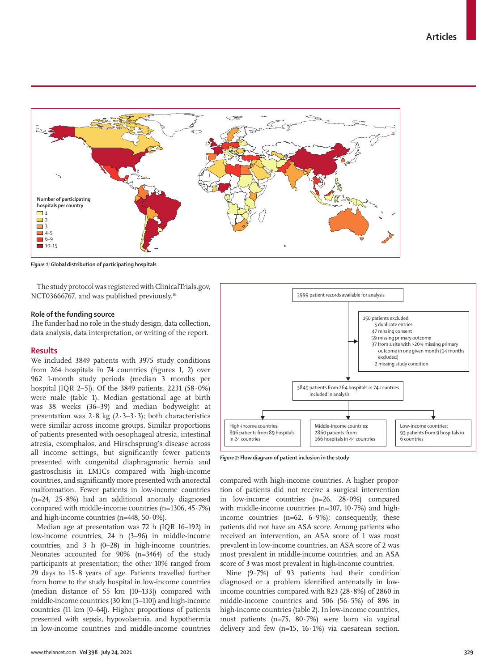

*Figure 1:* **Global distribution of participating hospitals**

The study protocol was registered with ClinicalTrials.gov, NCT03666767, and was published previously.<sup>18</sup>

## **Role of the funding source**

The funder had no role in the study design, data collection, data analysis, data interpretation, or writing of the report.

#### **Results**

We included 3849 patients with 3975 study conditions from 264 hospitals in 74 countries (figures 1, 2) over 962 1-month study periods (median 3 months per hospital [IQR 2–5]). Of the 3849 patients, 2231 (58·0%) were male (table 1). Median gestational age at birth was 38 weeks (36–39) and median bodyweight at presentation was  $2.8$  kg ( $2.3-3.3$ ); both characteristics were similar across income groups. Similar proportions of patients presented with oesophageal atresia, intestinal atresia, exomphalos, and Hirschsprung's disease across all income settings, but significantly fewer patients presented with congenital diaphragmatic hernia and gastroschisis in LMICs compared with high-income countries, and significantly more presented with anorectal malformation. Fewer patients in low-income countries (n=24, 25·8%) had an additional anomaly diagnosed compared with middle-income countries  $(n=1306, 45.7%)$ and high-income countries (n=448, 50·0%).

Median age at presentation was 72 h (IQR 16–192) in low-income countries, 24 h (3–96) in middle-income countries, and 3 h (0–28) in high-income countries. Neonates accounted for 90% (n=3464) of the study participants at presentation; the other 10% ranged from 29 days to 15·8 years of age. Patients travelled further from home to the study hospital in low-income countries (median distance of 55 km [10–133]) compared with middle-income countries (30 km [5–110]) and high-income countries (11 km [0–64]). Higher proportions of patients presented with sepsis, hypovolaemia, and hypothermia in low-income countries and middle-income countries



*Figure 2:* **Flow diagram of patient inclusion in the study**

compared with high-income countries. A higher proportion of patients did not receive a surgical intervention in low-income countries (n=26, 28·0%) compared with middle-income countries  $(n=307, 10\cdot7\%)$  and highincome countries  $(n=62, 6.9\%)$ ; consequently, these patients did not have an ASA score. Among patients who received an intervention, an ASA score of 1 was most prevalent in low-income countries, an ASA score of 2 was most prevalent in middle-income countries, and an ASA score of 3 was most prevalent in high-income countries.

Nine (9·7%) of 93 patients had their condition diagnosed or a problem identified antenatally in lowincome countries compared with 823 (28·8%) of 2860 in middle-income countries and 506 (56·5%) of 896 in high-income countries (table 2). In low-income countries, most patients (n=75, 80·7%) were born via vaginal delivery and few  $(n=15, 16.1%)$  via caesarean section.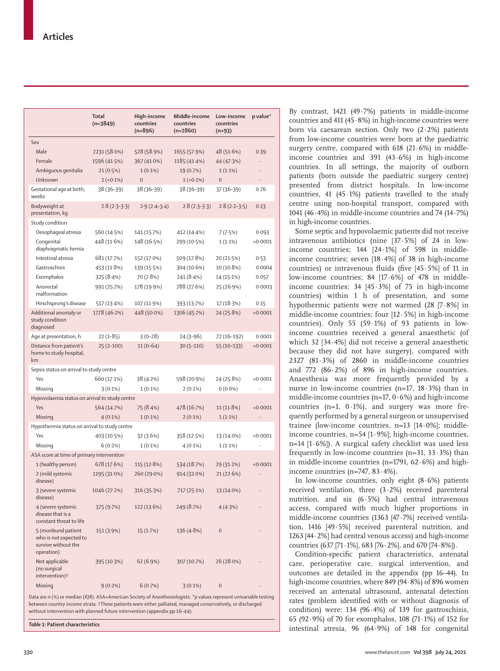|                                                                                    | Total<br>$(n=3849)$ | High-income<br>countries<br>$(n=896)$ | Middle-income<br>countries<br>$(n=2860)$ | Low-income<br>countries<br>$(n=93)$ | p value*  |
|------------------------------------------------------------------------------------|---------------------|---------------------------------------|------------------------------------------|-------------------------------------|-----------|
| Sex                                                                                |                     |                                       |                                          |                                     |           |
| Male                                                                               | 2231 (58.0%)        | 528 (58.9%)                           | 1655 (57.9%)                             | 48 (51.6%)                          | 0.39      |
| Female                                                                             | 1596 (41.5%)        | 367 (41.0%)                           | 1185 (41.4%)                             | 44 (47.3%)                          |           |
| Ambiguous genitalia                                                                | $21(0.5\%)$         | $1(0.1\%)$                            | 19 (0.7%)                                | $1(1.1\%)$                          |           |
| Unknown                                                                            | $1(-0.1\%)$         | $\overline{0}$                        | $1(-0.1\%)$                              | $\overline{0}$                      | $\ddotsc$ |
| Gestational age at birth,<br>weeks                                                 | 38 (36-39)          | 38 (36-39)                            | 38 (36-39)                               | $37(36-39)$                         | 0.76      |
| Bodyweight at<br>presentation, kg                                                  | $2.8(2.3-3.3)$      | $2.9(2.4-3.4)$                        | $2.8(2.3-3.3)$                           | $2.8(2.2-3.5)$                      | 0.13      |
| Study condition                                                                    |                     |                                       |                                          |                                     |           |
| Oesophageal atresia                                                                | 560 (14.5%)         | 141 (15.7%)                           | 412 (14.4%)                              | 7(7.5%)                             | 0.093     |
| Congenital<br>diaphragmatic hernia                                                 | 448 (11.6%)         | 148 (16.5%)                           | 299 (10.5%)                              | $1(1.1\%)$                          | < 0.0001  |
| Intestinal atresia                                                                 | 681 (17.7%)         | 152 (17.0%)                           | 509 (17.8%)                              | 20 (21.5%)                          | 0.53      |
| Gastroschisis                                                                      | 453 (11.8%)         | 139 (15.5%)                           | 304 (10.6%)                              | $10(10.8\%)$                        | 0.0004    |
| Exomphalos                                                                         | 325(8.4%)           | 70 (7.8%)                             | 241 (8.4%)                               | 14 (15.1%)                          | 0.057     |
| Anorectal<br>malformation                                                          | 991 (25.7%)         | 178 (19.9%)                           | 788 (27.6%)                              | 25 (26.9%)                          | 0.0003    |
| Hirschsprung's disease                                                             | 517 (13.4%)         | 107 (11.9%)                           | 393 (13.7%)                              | 17 (18.3%)                          | 0.15      |
| Additional anomaly or<br>study condition<br>diagnosed                              | 1778 (46.2%)        | 448 (50.0%)                           | 1306 (45.7%)                             | 24 (25.8%)                          | < 0.0001  |
| Age at presentation, h                                                             | $22(1 - 85)$        | $3(0-28)$                             | 24 (3-96)                                | 72 (16-192)                         | 0.0001    |
| Distance from patient's<br>home to study hospital,<br>km                           | $25(2-100)$         | $11(0-64)$                            | $30(5-110)$                              | $55(10-133)$                        | < 0.0001  |
| Sepsis status on arrival to study centre                                           |                     |                                       |                                          |                                     |           |
| Yes                                                                                | 660 (17.1%)         | 38(4.2%)                              | 598 (20.9%)                              | 24 (25.8%)                          | < 0.0001  |
| Missing                                                                            | $3(0.1\%)$          | $1(0.1\%)$                            | $2(0.1\%)$                               | $0(0.0\%)$                          |           |
| Hypovolaemia status on arrival to study centre                                     |                     |                                       |                                          |                                     |           |
| Yes                                                                                | 564 (14.7%)         | 75 (8.4%)                             | 478 (16.7%)                              | 11 (11.8%)                          | < 0.0001  |
| Missing                                                                            | $4(0.1\%)$          | $1(0.1\%)$                            | $2(0.1\%)$                               | $1(1.1\%)$                          | $\ddotsc$ |
| Hypothermia status on arrival to study centre                                      |                     |                                       |                                          |                                     |           |
| Yes                                                                                | 403 (10.5%)         | 32 (3.6%)                             | 358 (12.5%)                              | 13 (14.0%)                          | < 0.0001  |
| Missing                                                                            | $6(0.2\%)$          | $1(0.1\%)$                            | $4(0.1\%)$                               | $1(1.1\%)$                          |           |
| ASA score at time of primary intervention                                          |                     |                                       |                                          |                                     |           |
| 1 (healthy person)                                                                 | 678 (17.6%)         | 115 (12.8%)                           | 534 (18.7%)                              | 29 (31.2%)                          | < 0.0001  |
| 2 (mild systemic<br>disease)                                                       | 1195 (31.0%)        | 260 (29.0%)                           | 914 (32.0%)                              | 21 (22.6%)                          | $\ddotsc$ |
| 3 (severe systemic<br>disease)                                                     | 1046 (27·2%)        | 316 (35.3%)                           | 717 (25·1%)                              | $13(14.0\%)$                        |           |
| 4 (severe systemic<br>disease that is a<br>constant threat to life                 | 375 (9.7%)          | 122 (13.6%)                           | 249 (8.7%)                               | 4 (4.3%)                            |           |
| 5 (moribund patient<br>who is not expected to<br>survive without the<br>operation) | 151 (3·9%)          | 15(1.7%)                              | 136 (4.8%)                               | 0                                   |           |
| Not applicable<br>(no surgical<br>intervention) <sup>†</sup>                       | 395 (10.3%)         | 62 (6.9%)                             | 307 (10.7%)                              | $26(28.0\%)$                        |           |
| Missing                                                                            | $9(0.2\%)$          | 6(0.7%)                               | $3(0.1\%)$                               | $\mathbf{0}$                        |           |

Data are n (%) or median (IQR). ASA=American Society of Anesthesiologists. \*p values represent univariable testing between country income strata. †These patients were either palliated, managed conservatively, or discharged without intervention with planned future intervention (appendix pp 16–44).

*Table 1:* **Patient characteristics**

By contrast, 1421 (49·7%) patients in middle-income countries and 411 (45·8%) in high-income countries were born via caesarean section. Only two (2·2%) patients from low-income countries were born at the paediatric surgery centre, compared with 618 (21·6%) in middleincome countries and 391 (43·6%) in high-income countries. In all settings, the majority of outborn patients (born outside the paediatric surgery centre) presented from district hospitals. In low-income countries, 41 (45 $\cdot$ 1%) patients travelled to the study centre using non-hospital transport, compared with 1041 (46·4%) in middle-income countries and 74 (14·7%) in high-income countries.

Some septic and hypovolaemic patients did not receive intravenous antibiotics (nine [37·5%] of 24 in lowincome countries; 144 [24·1%] of 598 in middleincome countries; seven [18·4%] of 38 in high-income countries) or intravenous fluids (five  $[45.5\%]$  of 11 in low-income countries; 84 [17·6%] of 478 in middleincome countries;  $34 [45.3\%]$  of 75 in high-income countries) within 1 h of presentation, and some hypothermic patients were not warmed (28 [7·8%] in middle-income countries; four [12·5%] in high-income countries). Only 55 (59·1%) of 93 patients in lowincome countries received a general anaesthetic (of which 32 [34·4%] did not receive a general anaesthetic because they did not have surgery), compared with 2327 (81·3%) of 2860 in middle-income countries and 772 (86·2%) of 896 in high-income countries. Anaesthesia was more frequently provided by a nurse in low-income countries (n=17,  $18.3\%$ ) than in middle-income countries ( $n=17, 0.6%$ ) and high-income countries ( $n=1$ ,  $0.1\%$ ), and surgery was more frequently performed by a general surgeon or unsupervised trainee (low-income countries, n=13 [14·0%]; middleincome countries, n=54 [1·9%]; high-income countries, n=14  $[1.6\%]$ ). A surgical safety checklist was used less frequently in low-income countries ( $n=31$ ,  $33.3%$ ) than in middle-income countries ( $n=1791$ ,  $62.6%$ ) and highincome countries (n=747, 83·4%).

In low-income countries, only eight  $(8.6%)$  patients received ventilation, three (3·2%) received parenteral nutrition, and six (6·5%) had central intravenous access, compared with much higher proportions in middle-income countries (1363 [47·7%] received ventilation, 1416 [49·5%] received parenteral nutrition, and 1263  $[44.2\%]$  had central venous access) and high-income countries (637 [71·1%], 683 [76·2%], and 670 [74·8%]).

Condition-specific patient characteristics, antenatal care, perioperative care, surgical intervention, and outcomes are detailed in the appendix (pp 16–44). In high-income countries, where 849 (94·8%) of 896 women received an antenatal ultrasound, antenatal detection rates (problem identified with or without diagnosis of condition) were:  $134$  (96 $\cdot$ 4%) of 139 for gastroschisis, 65 (92·9%) of 70 for exomphalos, 108 (71·1%) of 152 for intestinal atresia, 96 (64·9%) of 148 for congenital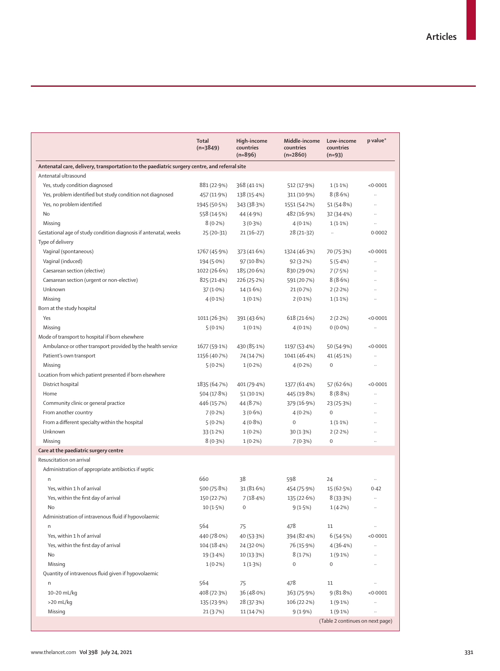|                                                                                              | <b>Total</b><br>$(n=3849)$ | High-income<br>countries<br>$(n=896)$ | Middle-income<br>countries<br>$(n=2860)$ | Low-income<br>countries<br>$(n=93)$ | p value*             |
|----------------------------------------------------------------------------------------------|----------------------------|---------------------------------------|------------------------------------------|-------------------------------------|----------------------|
| Antenatal care, delivery, transportation to the paediatric surgery centre, and referral site |                            |                                       |                                          |                                     |                      |
| Antenatal ultrasound                                                                         |                            |                                       |                                          |                                     |                      |
| Yes, study condition diagnosed                                                               | 881 (22.9%)                | 368 (41.1%)                           | 512 (17.9%)                              | $1(1.1\%)$                          | < 0.0001             |
| Yes, problem identified but study condition not diagnosed                                    | 457 (11.9%)                | 138 (15.4%)                           | 311 (10.9%)                              | 8(8.6%)                             | $\ddotsc$            |
| Yes, no problem identified                                                                   | 1945 (50.5%)               | 343 (38.3%)                           | 1551 (54.2%)                             | 51 (54.8%)                          | Ω,                   |
| No                                                                                           | 558 (14.5%)                | 44 (4.9%)                             | 482 (16.9%)                              | 32 (34.4%)                          | $\ddotsc$            |
| Missing                                                                                      | $8(0.2\%)$                 | 3(0.3%)                               | $4(0.1\%)$                               | $1(1.1\%)$                          | $\ldots$             |
| Gestational age of study condition diagnosis if antenatal, weeks                             | $25(20-31)$                | $21(16-27)$                           | $28(21-32)$                              | $\ddotsc$                           | 0.0002               |
| Type of delivery                                                                             |                            |                                       |                                          |                                     |                      |
| Vaginal (spontaneous)                                                                        | 1767 (45.9%)               | 373 (41.6%)                           | 1324 (46.3%)                             | 70 (75.3%)                          | < 0.0001             |
| Vaginal (induced)                                                                            | 194 (5.0%)                 | 97 (10.8%)                            | 92(3.2%)                                 | 5(5.4%)                             | $\ddot{\phantom{a}}$ |
| Caesarean section (elective)                                                                 | 1022 (26.6%)               | 185 (20.6%)                           | 830 (29.0%)                              | 7(7.5%)                             | $\ddotsc$            |
| Caesarean section (urgent or non-elective)                                                   | 825 (21.4%)                | 226 (25.2%)                           | 591 (20.7%)                              | 8(8.6%)                             | $\ddot{\phantom{a}}$ |
| Unknown                                                                                      | $37(1.0\%)$                | 14 (1.6%)                             | 21 (0.7%)                                | 2(2.2%)                             | $\ddotsc$            |
| Missing                                                                                      | $4(0.1\%)$                 | $1(0.1\%)$                            | $2(0.1\%)$                               | $1(1.1\%)$                          | $\ddotsc$            |
| Born at the study hospital                                                                   |                            |                                       |                                          |                                     |                      |
| Yes                                                                                          | 1011 (26.3%)               | 391 (43.6%)                           | 618 (21.6%)                              | 2(2.2%)                             | < 0.0001             |
| Missing                                                                                      | $5(0.1\%)$                 | $1(0.1\%)$                            | $4(0.1\%)$                               | $0(0.0\%)$                          | $\ddots$             |
| Mode of transport to hospital if born elsewhere                                              |                            |                                       |                                          |                                     |                      |
| Ambulance or other transport provided by the health service                                  | 1677 (59.1%)               | 430 (85.1%)                           | 1197 (53.4%)                             | 50 (54.9%)                          | < 0.0001             |
| Patient's own transport                                                                      | 1156 (40.7%)               | 74 (14.7%)                            | 1041 (46.4%)                             | 41 (45.1%)                          |                      |
| Missing                                                                                      | $5(0.2\%)$                 | $1(0.2\%)$                            | $4(0.2\%)$                               | $\boldsymbol{0}$                    | $\ddotsc$            |
| Location from which patient presented if born elsewhere                                      |                            |                                       |                                          |                                     |                      |
| District hospital                                                                            | 1835 (64.7%)               | 401 (79.4%)                           | 1377 (61.4%)                             | 57 (62.6%)                          | < 0.0001             |
| Home                                                                                         | 504 (17.8%)                | $51(10.1\%)$                          | 445 (19.8%)                              | 8(8.8%)                             | $\ddotsc$            |
| Community clinic or general practice                                                         | 446 (15.7%)                | 44 (8.7%)                             | 379 (16.9%)                              | 23 (25.3%)                          | $\ddot{\phantom{a}}$ |
| From another country                                                                         | 7(0.2%)                    | 3(0.6%)                               | $4(0.2\%)$                               | $\boldsymbol{0}$                    | $\ddot{\phantom{a}}$ |
| From a different specialty within the hospital                                               | 5(0.2%)                    | $4(0.8\%)$                            | $\mathbf 0$                              | $1(1.1\%)$                          | $\ddotsc$            |
| Unknown                                                                                      | 33(1.2%)                   | $1(0.2\%)$                            | 30 (1.3%)                                | 2(2.2%)                             | $\ddotsc$            |
| Missing                                                                                      | 8(0.3%)                    | $1(0.2\%)$                            | 7(0.3%)                                  | $\mathbf 0$                         | $\ddotsc$            |
| Care at the paediatric surgery centre                                                        |                            |                                       |                                          |                                     |                      |
| Resuscitation on arrival                                                                     |                            |                                       |                                          |                                     |                      |
| Administration of appropriate antibiotics if septic                                          |                            |                                       |                                          |                                     |                      |
| n                                                                                            | 660                        | 38                                    | 598                                      | 24                                  |                      |
| Yes, within 1 h of arrival                                                                   | 500 (75.8%)                | 31(81.6%)                             | 454 (75.9%)                              | 15 (62.5%)                          | 0.42                 |
| Yes, within the first day of arrival                                                         | 150 (22.7%)                | 7(18.4%)                              | 135 (22.6%)                              | 8(33.3%)                            | $\ldots$             |
| No                                                                                           | $10(1.5\%)$                | $\mathbf 0$                           | 9(1.5%)                                  | $1(4.2\%)$                          |                      |
| Administration of intravenous fluid if hypovolaemic                                          |                            |                                       |                                          |                                     |                      |
| n                                                                                            | 564                        | 75                                    | 478                                      | 11                                  | .,                   |
| Yes, within 1 h of arrival                                                                   | 440 (78.0%)                | 40 (53.3%)                            | 394 (82.4%)                              | 6(54.5%)                            | < 0.0001             |
| Yes, within the first day of arrival                                                         | 104 (18.4%)                | 24 (32.0%)                            | 76 (15.9%)                               | 4(36.4%)                            | .,                   |
| No                                                                                           | 19 (3.4%)                  | 10(13.3%)                             | 8(1.7%)                                  | $1(9.1\%)$                          |                      |
| Missing                                                                                      | $1(0.2\%)$                 | 1(1.3%)                               | 0                                        | 0                                   |                      |
| Quantity of intravenous fluid given if hypovolaemic                                          |                            |                                       |                                          |                                     |                      |
| n                                                                                            | 564                        | 75                                    | 478                                      | 11                                  | .,                   |
| 10-20 mL/kg                                                                                  | 408 (72.3%)                | 36 (48.0%)                            | 363 (75.9%)                              | 9(81.8%)                            | < 0.0001             |
| >20 mL/kg                                                                                    | 135 (23.9%)                | 28 (37.3%)                            | 106 (22.2%)                              | 1(9.1%)                             | .,                   |
| Missing                                                                                      | 21(3.7%)                   | 11(14.7%)                             | 9(1.9%)                                  | 1(9.1%)                             |                      |
|                                                                                              |                            |                                       |                                          | (Table 2 continues on next page)    |                      |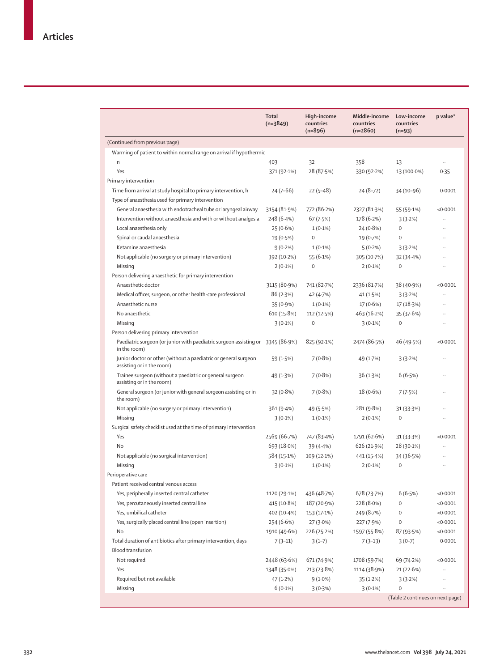|                                                                                                 | Total<br>$(n=3849)$ | High-income<br>countries<br>$(n=896)$ | Middle-income<br>countries<br>$(n=2860)$ | Low-income<br>countries<br>$(n=93)$ | p value*             |  |  |
|-------------------------------------------------------------------------------------------------|---------------------|---------------------------------------|------------------------------------------|-------------------------------------|----------------------|--|--|
| (Continued from previous page)                                                                  |                     |                                       |                                          |                                     |                      |  |  |
| Warming of patient to within normal range on arrival if hypothermic                             |                     |                                       |                                          |                                     |                      |  |  |
| n                                                                                               | 403                 | 32                                    | 358                                      | 13                                  | $\ddotsc$            |  |  |
| Yes                                                                                             | 371 (92.1%)         | 28 (87.5%)                            | 330 (92.2%)                              | 13 (100.0%)                         | 0.35                 |  |  |
| Primary intervention                                                                            |                     |                                       |                                          |                                     |                      |  |  |
| Time from arrival at study hospital to primary intervention, h                                  | $24(7-66)$          | $22(5-48)$                            | $24(8-72)$                               | 34 (10-96)                          | 0.0001               |  |  |
| Type of anaesthesia used for primary intervention                                               |                     |                                       |                                          |                                     |                      |  |  |
| General anaesthesia with endotracheal tube or laryngeal airway                                  | 3154 (81.9%)        | 772 (86.2%)                           | 2327 (81.3%)                             | 55 (59.1%)                          | < 0.0001             |  |  |
| Intervention without anaesthesia and with or without analgesia                                  | 248 (6.4%)          | 67(7.5%)                              | 178 (6.2%)                               | 3(3.2%)                             |                      |  |  |
| Local anaesthesia only                                                                          | 25(0.6%)            | $1(0.1\%)$                            | $24(0.8\%)$                              | $\boldsymbol{0}$                    | $\ddotsc$            |  |  |
| Spinal or caudal anaesthesia                                                                    | 19 (0.5%)           | $\mathbf{0}$                          | 19 (0.7%)                                | $\mathbf 0$                         |                      |  |  |
| Ketamine anaesthesia                                                                            | $9(0.2\%)$          | $1(0.1\%)$                            | 5(0.2%)                                  | 3(3.2%)                             |                      |  |  |
| Not applicable (no surgery or primary intervention)                                             | 392 (10.2%)         | 55 (6.1%)                             | 305 (10.7%)                              | 32(34.4%)                           | $\ddot{\phantom{0}}$ |  |  |
| Missing                                                                                         | $2(0.1\%)$          | $\mathbf 0$                           | $2(0.1\%)$                               | $\mathbf 0$                         |                      |  |  |
| Person delivering anaesthetic for primary intervention                                          |                     |                                       |                                          |                                     |                      |  |  |
| Anaesthetic doctor                                                                              | 3115 (80.9%)        | 741 (82.7%)                           | 2336 (81.7%)                             | 38 (40.9%)                          | < 0.0001             |  |  |
| Medical officer, surgeon, or other health-care professional                                     | 86(2.3%)            | 42 (4.7%)                             | 41 (1.5%)                                | 3(3.2%)                             | $\ddotsc$            |  |  |
| Anaesthetic nurse                                                                               | 35 (0.9%)           | $1(0.1\%)$                            | $17(0.6\%)$                              | 17(18.3%)                           | $\ddot{\phantom{a}}$ |  |  |
| No anaesthetic                                                                                  | 610 (15.8%)         | 112 (12.5%)                           | 463 (16.2%)                              | 35 (37.6%)                          | $\ddot{\phantom{a}}$ |  |  |
| Missing                                                                                         | $3(0.1\%)$          | $\mathbf 0$                           | $3(0.1\%)$                               | $\mathbf 0$                         | $\ddotsc$            |  |  |
| Person delivering primary intervention                                                          |                     |                                       |                                          |                                     |                      |  |  |
| Paediatric surgeon (or junior with paediatric surgeon assisting or 3345 (86.9%)<br>in the room) |                     | 825 (92.1%)                           | 2474 (86.5%)                             | 46 (49.5%)                          | < 0.0001             |  |  |
| Junior doctor or other (without a paediatric or general surgeon<br>assisting or in the room)    | 59 (1.5%)           | 7(0.8%)                               | 49 (1.7%)                                | 3(3.2%)                             |                      |  |  |
| Trainee surgeon (without a paediatric or general surgeon<br>assisting or in the room)           | 49 (1.3%)           | $7(0.8\%)$                            | 36 (1.3%)                                | 6(6.5%)                             | $\ddot{\phantom{a}}$ |  |  |
| General surgeon (or junior with general surgeon assisting or in<br>the room)                    | 32(0.8%)            | 7(0.8%)                               | 18 (0.6%)                                | 7(7.5%)                             |                      |  |  |
| Not applicable (no surgery or primary intervention)                                             | 361(9.4%)           | 49 (5.5%)                             | 281 (9.8%)                               | 31(33.3%)                           |                      |  |  |
| Missing                                                                                         | $3(0.1\%)$          | $1(0.1\%)$                            | $2(0.1\%)$                               | $\boldsymbol{0}$                    | $\ddotsc$            |  |  |
| Surgical safety checklist used at the time of primary intervention                              |                     |                                       |                                          |                                     |                      |  |  |
| Yes                                                                                             | 2569 (66.7%)        | 747 (83.4%)                           | 1791 (62.6%)                             | 31(33.3%)                           | < 0.0001             |  |  |
| No                                                                                              | 693 (18.0%)         | 39(4.4%)                              | 626 (21.9%)                              | 28 (30-1%)                          |                      |  |  |
| Not applicable (no surgical intervention)                                                       | 584 (15.1%)         | 109 (12.1%)                           | 441 (15.4%)                              | 34 (36.5%)                          | $\ddotsc$            |  |  |
| Missing                                                                                         | $3(0.1\%)$          | $1(0.1\%)$                            | $2(0.1\%)$                               | $\boldsymbol{0}$                    |                      |  |  |
| Perioperative care                                                                              |                     |                                       |                                          |                                     |                      |  |  |
| Patient received central venous access                                                          |                     |                                       |                                          |                                     |                      |  |  |
| Yes, peripherally inserted central catheter                                                     | 1120 (29.1%)        | 436 (48.7%)                           | 678 (23.7%)                              | 6(6.5%)                             | <0.0001              |  |  |
| Yes, percutaneously inserted central line                                                       | 415 (10.8%)         | 187 (20.9%)                           | 228 (8.0%)                               | $\boldsymbol{0}$                    | < 0.0001             |  |  |
| Yes, umbilical catheter                                                                         | 402 (10.4%)         | 153 (17.1%)                           | 249 (8.7%)                               | $\boldsymbol{0}$                    | < 0.0001             |  |  |
| Yes, surgically placed central line (open insertion)                                            | 254 (6.6%)          | 27 (3.0%)                             | 227 (7.9%)                               | $\mathbf 0$                         | < 0.0001             |  |  |
| No                                                                                              | 1910 (49.6%)        | 226 (25.2%)                           | 1597 (55.8%)                             | 87 (93.5%)                          | < 0.0001             |  |  |
| Total duration of antibiotics after primary intervention, days                                  | $7(3-11)$           | $3(1-7)$                              | $7(3-13)$                                | $3(0-7)$                            | 0.0001               |  |  |
| <b>Blood transfusion</b>                                                                        |                     |                                       |                                          |                                     |                      |  |  |
| Not required                                                                                    | 2448 (63.6%)        | 671 (74.9%)                           | 1708 (59.7%)                             | 69 (74.2%)                          | < 0.0001             |  |  |
| Yes                                                                                             | 1348 (35.0%)        | 213 (23.8%)                           | 1114 (38.9%)                             | 21(22.6%)                           | $\cdots$             |  |  |
| Required but not available                                                                      | 47 (1.2%)           | $9(1.0\%)$                            | 35 (1.2%)                                | 3(3.2%)                             |                      |  |  |
| Missing                                                                                         | $6(0.1\%)$          | 3(0.3%)                               | $3(0.1\%)$                               | $\mathbf 0$                         |                      |  |  |
|                                                                                                 |                     |                                       |                                          | (Table 2 continues on next page)    |                      |  |  |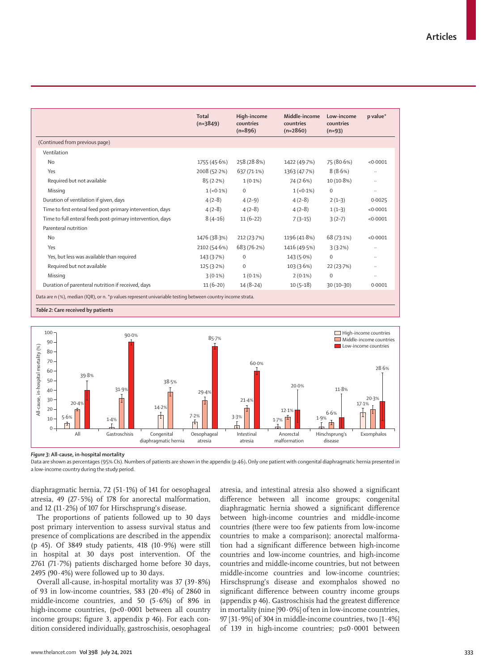|                                                                                                            | Total<br>$(n=3849)$ | High-income<br>countries<br>$(n=896)$ | Middle-income<br>countries<br>$(n=2860)$ | Low-income<br>countries<br>$(n=93)$ | p value*  |
|------------------------------------------------------------------------------------------------------------|---------------------|---------------------------------------|------------------------------------------|-------------------------------------|-----------|
| (Continued from previous page)                                                                             |                     |                                       |                                          |                                     |           |
| Ventilation                                                                                                |                     |                                       |                                          |                                     |           |
| <b>No</b>                                                                                                  | 1755 (45.6%)        | 258 (28.8%)                           | 1422 (49.7%)                             | 75 (80.6%)                          | < 0.0001  |
| Yes                                                                                                        | 2008 (52.2%)        | $637(71.1\%)$                         | 1363 (47.7%)                             | 8(8.6%)                             | $\ddotsc$ |
| Required but not available                                                                                 | 85(2.2%)            | $1(0.1\%)$                            | 74 (2.6%)                                | $10(10.8\%)$                        | $\cdots$  |
| Missing                                                                                                    | $1(-0.1\%)$         | $\Omega$                              | $1(-0.1\%)$                              | $\Omega$                            | $\cdots$  |
| Duration of ventilation if given, days                                                                     | $4(2-8)$            | $4(2-9)$                              | $4(2-8)$                                 | $2(1-3)$                            | 0.0025    |
| Time to first enteral feed post-primary intervention, days                                                 | $4(2-8)$            | $4(2-8)$                              | $4(2-8)$                                 | $1(1-3)$                            | < 0.0001  |
| Time to full enteral feeds post-primary intervention, days                                                 | $8(4-16)$           | $11(6-22)$                            | $7(3-15)$                                | $3(2-7)$                            | < 0.0001  |
| Parenteral nutrition                                                                                       |                     |                                       |                                          |                                     |           |
| <b>No</b>                                                                                                  | 1476 (38.3%)        | 212(23.7%)                            | 1196 (41.8%)                             | 68 (73.1%)                          | < 0.0001  |
| Yes                                                                                                        | 2102 (54.6%)        | 683 (76.2%)                           | 1416 (49.5%)                             | 3(3.2%)                             | $\cdots$  |
| Yes, but less was available than required                                                                  | 143(3.7%)           | $\mathbf 0$                           | $143(5.0\%)$                             | $\mathbf 0$                         | $\cdots$  |
| Required but not available                                                                                 | 125(3.2%)           | $\mathbf{O}$                          | 103(3.6%)                                | 22(23.7%)                           | $\cdots$  |
| Missing                                                                                                    | $3(0.1\%)$          | $1(0.1\%)$                            | $2(0.1\%)$                               | $\Omega$                            | $\ddotsc$ |
| Duration of parenteral nutrition if received, days                                                         | $11(6-20)$          | $14(8-24)$                            | $10(5-18)$                               | $30(10-30)$                         | 0.0001    |
| Data are n (%), median (IQR), or n. *p values represent univariable testing between country income strata. |                     |                                       |                                          |                                     |           |

*Table 2:* **Care received by patients**



*Figure 3:* **All-cause, in-hospital mortality**

Data are shown as percentages (95% CIs). Numbers of patients are shown in the appendix (p 46)**.** Only one patient with congenital diaphragmatic hernia presented in a low-income country during the study period.

diaphragmatic hernia, 72 (51·1%) of 141 for oesophageal atresia, 49 (27·5%) of 178 for anorectal malformation, and 12 (11 $\cdot$ 2%) of 107 for Hirschsprung's disease.

The proportions of patients followed up to 30 days post primary intervention to assess survival status and presence of complications are described in the appendix (p 45). Of 3849 study patients, 418 (10·9%) were still in hospital at 30 days post intervention. Of the 2761 (71·7%) patients discharged home before 30 days, 2495 (90 $\cdot$ 4%) were followed up to 30 days.

Overall all-cause, in-hospital mortality was 37 (39·8%) of 93 in low-income countries, 583 (20·4%) of 2860 in middle-income countries, and 50 (5·6%) of 896 in high-income countries, (p<0·0001 between all country income groups; figure 3, appendix p 46). For each condition considered individually, gastroschisis, oesophageal atresia, and intestinal atresia also showed a significant difference between all income groups; congenital diaphragmatic hernia showed a significant difference between high-income countries and middle-income countries (there were too few patients from low-income countries to make a comparison); anorectal malformation had a significant difference between high-income countries and low-income countries, and high-income countries and middle-income countries, but not between middle-income countries and low-income countries; Hirschsprung's disease and exomphalos showed no significant difference between country income groups (appendix p 46). Gastroschisis had the greatest difference in mortality (nine [90·0%] of ten in low-income countries, 97 [31·9%] of 304 in middle-income countries, two [1·4%] of 139 in high-income countries; p≤0·0001 between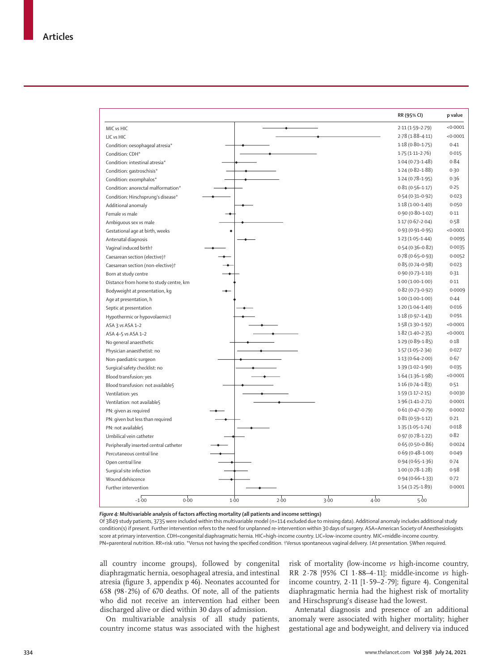|                                               |      |      |      |      | RR (95% CI)         | p value  |
|-----------------------------------------------|------|------|------|------|---------------------|----------|
| MIC vs HIC                                    |      |      |      |      | $2.11(1.59 - 2.79)$ | < 0.0001 |
| LIC vs HIC                                    |      |      |      |      | $2.78(1.88 - 4.11)$ | <0.0001  |
| Condition: oesophageal atresia*               |      |      |      |      | $1.18(0.80 - 1.75)$ | 0.41     |
| Condition: CDH*                               |      |      |      |      | $1.75(1.11 - 2.76)$ | 0.015    |
| Condition: intestinal atresia*                |      |      |      |      | $1.04(0.73 - 1.48)$ | 0.84     |
| Condition: gastroschisis*                     |      |      |      |      | $1.24(0.82 - 1.88)$ | 0.30     |
| Condition: exomphalos*                        |      |      |      |      | $1.24(0.78-1.95)$   | 0.36     |
| Condition: anorectal malformation*            |      |      |      |      | $0.81(0.56 - 1.17)$ | 0.25     |
| Condition: Hirschsprung's disease*            |      |      |      |      | $0.54(0.31 - 0.92)$ | 0.023    |
| Additional anomaly                            |      |      |      |      | $1.18(1.00-1.40)$   | 0.050    |
| Female vs male                                |      |      |      |      | $0.90(0.80 - 1.02)$ | 0.11     |
| Ambiguous sex vs male                         |      |      |      |      | $1.17(0.67 - 2.04)$ | 0.58     |
| Gestational age at birth, weeks               | ٠    |      |      |      | $0.93(0.91 - 0.95)$ | <0.0001  |
| Antenatal diagnosis                           |      |      |      |      | $1.23(1.05-1.44)$   | 0.0095   |
| Vaginal induced birth†                        |      |      |      |      | $0.54(0.36 - 0.82)$ | 0.0035   |
| Caesarean section (elective) <sup>†</sup>     |      |      |      |      | $0.78(0.65 - 0.93)$ | 0.0052   |
| Caesarean section (non-elective) <sup>+</sup> |      |      |      |      | $0.85(0.74 - 0.98)$ | 0.023    |
| Born at study centre                          |      |      |      |      | $0.90(0.73 - 1.10)$ | 0.31     |
| Distance from home to study centre, km        |      |      |      |      | $1.00(1.00-1.00)$   | 0.11     |
| Bodyweight at presentation, kg                |      |      |      |      | $0.82(0.73 - 0.92)$ | 0.0009   |
| Age at presentation, h                        |      |      |      |      | $1.00(1.00-1.00)$   | 0.44     |
| Septic at presentation                        |      |      |      |      | $1.20(1.04-1.40)$   | 0.016    |
| Hypothermic or hypovolaemic‡                  |      |      |      |      | $1.18(0.97 - 1.43)$ | 0.091    |
| ASA 3 vs ASA 1-2                              |      |      |      |      | $1.58(1.30-1.92)$   | <0.0001  |
| ASA 4-5 vs ASA 1-2                            |      |      |      |      | $1.82(1.40-2.35)$   | < 0.0001 |
| No general anaesthetic                        |      |      |      |      | $1.29(0.89 - 1.85)$ | 0.18     |
| Physician anaesthetist: no                    |      |      |      |      | $1.57(1.05 - 2.34)$ | 0.027    |
| Non-paediatric surgeon                        |      |      |      |      | $1.13(0.64 - 2.00)$ | 0.67     |
| Surgical safety checklist: no                 |      |      |      |      | 1.39 (1.02-1.90)    | 0.035    |
| Blood transfusion: yes                        |      |      |      |      | $1.64(1.36-1.98)$   | <0.0001  |
| Blood transfusion: not available \            |      |      |      |      | $1.16(0.74 - 1.83)$ | 0.51     |
| Ventilation: yes                              |      |      |      |      | $1.59(1.17 - 2.15)$ | 0.0030   |
| Ventilation: not availables                   |      |      |      |      | $1.96(1.41 - 2.71)$ | 0.0001   |
| PN: given as required                         |      |      |      |      | $0.61(0.47 - 0.79)$ | 0.0002   |
| PN: given but less than required              |      |      |      |      | $0.81(0.59 - 1.12)$ | 0.21     |
| PN: not available \                           |      |      |      |      | $1.35(1.05 - 1.74)$ | 0.018    |
| Umbilical vein catheter                       |      |      |      |      | $0.97(0.78 - 1.22)$ | 0.82     |
| Peripherally inserted central catheter        |      |      |      |      | $0.65(0.50 - 0.86)$ | 0.0024   |
| Percutaneous central line                     |      |      |      |      | $0.69(0.48 - 1.00)$ | 0.049    |
| Open central line                             |      |      |      |      | $0.94(0.65 - 1.36)$ | 0.74     |
| Surgical site infection                       |      |      |      |      | $1.00(0.78 - 1.28)$ | 0.98     |
| Wound dehiscence                              |      |      |      |      | $0.94(0.66 - 1.33)$ | 0.72     |
| Further intervention                          |      |      |      |      | $1.54(1.25 - 1.89)$ | 0.0001   |
| $-1.00$<br>0.00                               | 1.00 | 2.00 | 3.00 | 4.00 | 5.00                |          |

*Figure 4:* **Multivariable analysis of factors affecting mortality (all patients and income settings)**

Of 3849 study patients, 3735 were included within this multivariable model (n=114 excluded due to missing data). Additional anomaly includes additional study condition(s) if present. Further intervention refers to the need for unplanned re-intervention within 30 days of surgery. ASA=American Society of Anesthesiologists score at primary intervention. CDH=congenital diaphragmatic hernia. HIC=high-income country. LIC=low-income country. MIC=middle-income country. PN=parenteral nutrition. RR=risk ratio. \*Versus not having the specified condition. †Versus spontaneous vaginal delivery. ‡At presentation. §When required.

all country income groups), followed by congenital diaphragmatic hernia, oesophageal atresia, and intestinal atresia (figure 3, appendix p 46). Neonates accounted for 658 (98 $\cdot$ 2%) of 670 deaths. Of note, all of the patients who did not receive an intervention had either been discharged alive or died within 30 days of admission.

On multivariable analysis of all study patients, country income status was associated with the highest risk of mortality (low-income *vs* high-income country, RR 2·78 [95% CI 1·88–4·11]; middle-income *vs* highincome country,  $2.11$  [1.59–2.79]; figure 4). Congenital diaphragmatic hernia had the highest risk of mortality and Hirschsprung's disease had the lowest.

Antenatal diagnosis and presence of an additional anomaly were associated with higher mortality; higher gestational age and bodyweight, and delivery via induced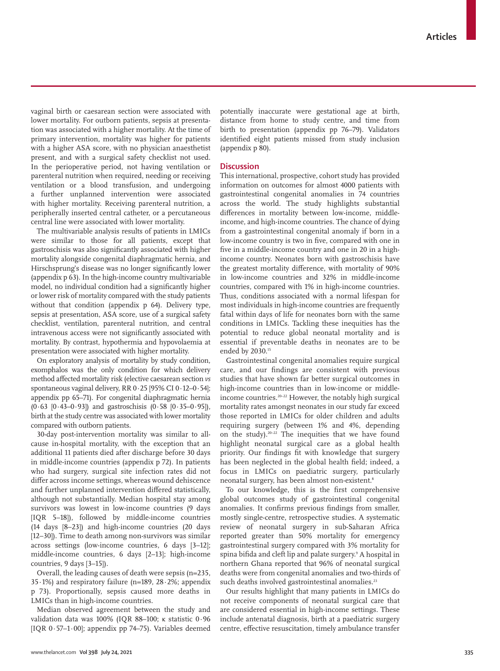vaginal birth or caesarean section were associated with lower mortality. For outborn patients, sepsis at presentation was associated with a higher mortality. At the time of primary intervention, mortality was higher for patients with a higher ASA score, with no physician anaesthetist present, and with a surgical safety checklist not used. In the perioperative period, not having ventilation or parenteral nutrition when required, needing or receiving ventilation or a blood transfusion, and undergoing a further unplanned intervention were associated with higher mortality. Receiving parenteral nutrition, a peripherally inserted central catheter, or a percutaneous central line were associated with lower mortality.

The multivariable analysis results of patients in LMICs were similar to those for all patients, except that gastroschisis was also significantly associated with higher mortality alongside congenital diaphragmatic hernia, and Hirschsprung's disease was no longer significantly lower (appendix p 63). In the high-income country multivariable model, no individual condition had a significantly higher or lower risk of mortality compared with the study patients without that condition (appendix p 64). Delivery type, sepsis at presentation, ASA score, use of a surgical safety checklist, ventilation, parenteral nutrition, and central intravenous access were not significantly associated with mortality. By contrast, hypothermia and hypovolaemia at presentation were associated with higher mortality.

On exploratory analysis of mortality by study condition, exomphalos was the only condition for which delivery method affected mortality risk (elective caesarean section *vs* spontaneous vaginal delivery, RR 0·25 [95% CI 0·12–0·54]; appendix pp 65–71). For congenital diaphragmatic hernia (0·63 [0·43–0·93]) and gastroschisis (0·58 [0·35–0·95]), birth at the study centre was associated with lower mortality compared with outborn patients.

30-day post-intervention mortality was similar to allcause in-hospital mortality, with the exception that an additional 11 patients died after discharge before 30 days in middle-income countries (appendix p 72). In patients who had surgery, surgical site infection rates did not differ across income settings, whereas wound dehiscence and further unplanned intervention differed statistically, although not substantially. Median hospital stay among survivors was lowest in low-income countries (9 days [IQR 5–18]), followed by middle-income countries (14 days [8–23]) and high-income countries (20 days [12–30]). Time to death among non-survivors was similar across settings (low-income countries, 6 days [3–12]; middle-income countries, 6 days [2–13]; high-income countries, 9 days [3–15]).

Overall, the leading causes of death were sepsis (n=235, 35·1%) and respiratory failure (n=189, 28·2%; appendix p 73). Proportionally, sepsis caused more deaths in LMICs than in high-income countries.

Median observed agreement between the study and validation data was 100% (IQR 88–100; κ statistic 0·96 [IQR  $0.57-1.00$ ]; appendix pp 74–75). Variables deemed potentially inaccurate were gestational age at birth, distance from home to study centre, and time from birth to presentation (appendix pp 76–79). Validators identified eight patients missed from study inclusion (appendix p 80).

## **Discussion**

This international, prospective, cohort study has provided information on outcomes for almost 4000 patients with gastrointestinal congenital anomalies in 74 countries across the world. The study highlights substantial differences in mortality between low-income, middleincome, and high-income countries. The chance of dying from a gastrointestinal congenital anomaly if born in a low-income country is two in five, compared with one in five in a middle-income country and one in 20 in a highincome country. Neonates born with gastroschisis have the greatest mortality difference, with mortality of 90% in low-income countries and 32% in middle-income countries, compared with 1% in high-income countries. Thus, conditions associated with a normal lifespan for most individuals in high-income countries are frequently fatal within days of life for neonates born with the same conditions in LMICs. Tackling these inequities has the potential to reduce global neonatal mortality and is essential if preventable deaths in neonates are to be ended by 2030.15

Gastrointestinal congenital anomalies require surgical care, and our findings are consistent with previous studies that have shown far better surgical outcomes in high-income countries than in low-income or middleincome countries.20–22 However, the notably high surgical mortality rates amongst neonates in our study far exceed those reported in LMICs for older children and adults requiring surgery (between 1% and 4%, depending on the study).20–22 The inequities that we have found highlight neonatal surgical care as a global health priority. Our findings fit with knowledge that surgery has been neglected in the global health field; indeed, a focus in LMICs on paediatric surgery, particularly neonatal surgery, has been almost non-existent.<sup>8</sup>

To our knowledge, this is the first comprehensive global outcomes study of gastrointestinal congenital anomalies. It confirms previous findings from smaller, mostly single-centre, retrospective studies. A systematic review of neonatal surgery in sub-Saharan Africa reported greater than 50% mortality for emergency gastrointestinal surgery compared with 3% mortality for spina bifida and cleft lip and palate surgery.<sup>9</sup> A hospital in northern Ghana reported that 96% of neonatal surgical deaths were from congenital anomalies and two-thirds of such deaths involved gastrointestinal anomalies.<sup>23</sup>

Our results highlight that many patients in LMICs do not receive components of neonatal surgical care that are considered essential in high-income settings. These include antenatal diagnosis, birth at a paediatric surgery centre, effective resuscitation, timely ambulance transfer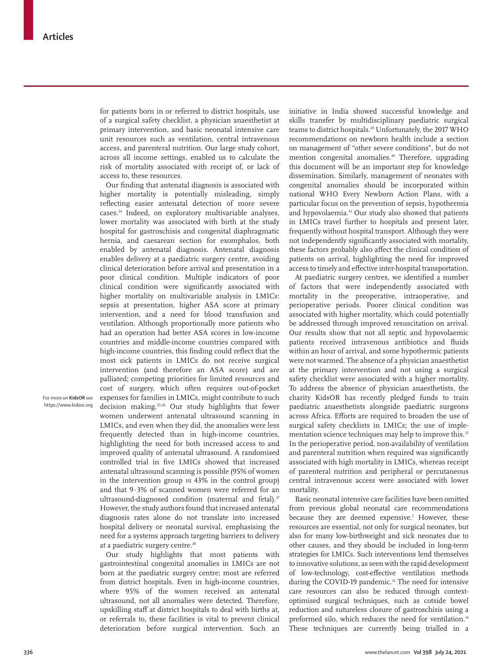for patients born in or referred to district hospitals, use of a surgical safety checklist, a physician anaesthetist at primary intervention, and basic neonatal intensive care unit resources such as ventilation, central intravenous access, and parenteral nutrition. Our large study cohort, across all income settings, enabled us to calculate the risk of mortality associated with receipt of, or lack of access to, these resources.

Our finding that antenatal diagnosis is associated with higher mortality is potentially misleading, simply reflecting easier antenatal detection of more severe cases.24 Indeed, on exploratory multivariable analyses, lower mortality was associated with birth at the study hospital for gastroschisis and congenital diaphragmatic hernia, and caesarean section for exomphalos, both enabled by antenatal diagnosis. Antenatal diagnosis enables delivery at a paediatric surgery centre, avoiding clinical deterioration before arrival and presentation in a poor clinical condition. Multiple indicators of poor clinical condition were significantly associated with higher mortality on multivariable analysis in LMICs: sepsis at presentation, higher ASA score at primary intervention, and a need for blood transfusion and ventilation. Although proportionally more patients who had an operation had better ASA scores in low-income countries and middle-income countries compared with high-income countries, this finding could reflect that the most sick patients in LMICs do not receive surgical intervention (and therefore an ASA score) and are palliated; competing priorities for limited resources and cost of surgery, which often requires out-of-pocket expenses for families in LMICs, might contribute to such decision making.25,26 Our study highlights that fewer women underwent antenatal ultrasound scanning in LMICs, and even when they did, the anomalies were less frequently detected than in high-income countries, highlighting the need for both increased access to and improved quality of antenatal ultrasound. A randomised controlled trial in five LMICs showed that increased antenatal ultrasound scanning is possible (95% of women in the intervention group *vs* 43% in the control group) and that 9·3% of scanned women were referred for an ultrasound-diagnosed condition (maternal and fetal).<sup>27</sup> However, the study authors found that increased antenatal diagnosis rates alone do not translate into increased hospital delivery or neonatal survival, emphasising the need for a systems approach targeting barriers to delivery at a paediatric surgery centre.<sup>28</sup>

Our study highlights that most patients with gastrointestinal congenital anomalies in LMICs are not born at the paediatric surgery centre; most are referred from district hospitals. Even in high-income countries, where 95% of the women received an antenatal ultrasound, not all anomalies were detected. Therefore, upskilling staff at district hospitals to deal with births at, or referrals to, these facilities is vital to prevent clinical deterioration before surgical intervention. Such an initiative in India showed successful knowledge and skills transfer by multidisciplinary paediatric surgical teams to district hospitals.29 Unfortunately, the 2017 WHO recommendations on newborn health include a section on management of "other severe conditions", but do not mention congenital anomalies.<sup>30</sup> Therefore, upgrading this document will be an important step for knowledge dissemination. Similarly, management of neonates with congenital anomalies should be incorporated within national WHO Every Newborn Action Plans, with a particular focus on the prevention of sepsis, hypothermia and hypovolaemia.<sup>31</sup> Our study also showed that patients in LMICs travel further to hospitals and present later, frequently without hospital transport. Although they were not independently significantly associated with mortality, these factors probably also affect the clinical condition of patients on arrival, highlighting the need for improved access to timely and effective inter-hospital transportation.

At paediatric surgery centres, we identified a number of factors that were independently associated with mortality in the preoperative, intraoperative, and perioperative periods. Poorer clinical condition was associated with higher mortality, which could potentially be addressed through improved resuscitation on arrival. Our results show that not all septic and hypovolaemic patients received intravenous antibiotics and fluids within an hour of arrival, and some hypothermic patients were not warmed. The absence of a physician anaesthetist at the primary intervention and not using a surgical safety checklist were associated with a higher mortality. To address the absence of physician anaesthetists, the charity [KidsOR](https://www.kidsor.org) has recently pledged funds to train paediatric anaesthetists alongside paediatric surgeons across Africa. Efforts are required to broaden the use of surgical safety checklists in LMICs; the use of implementation science techniques may help to improve this.<sup>32</sup> In the perioperative period, non-availability of ventilation and parenteral nutrition when required was significantly associated with high mortality in LMICs, whereas receipt of parenteral nutrition and peripheral or percutaneous central intravenous access were associated with lower mortality.

Basic neonatal intensive care facilities have been omitted from previous global neonatal care recommendations because they are deemed expensive.<sup>1</sup> However, these resources are essential, not only for surgical neonates, but also for many low-birthweight and sick neonates due to other causes, and they should be included in long-term strategies for LMICs. Such interventions lend themselves to innovative solutions, as seen with the rapid development of low-technology, cost-effective ventilation methods during the COVID-19 pandemic.<sup>33</sup> The need for intensive care resources can also be reduced through contextoptimised surgical techniques, such as cotside bowel reduction and sutureless closure of gastroschisis using a preformed silo, which reduces the need for ventilation.<sup>34</sup> These techniques are currently being trialled in a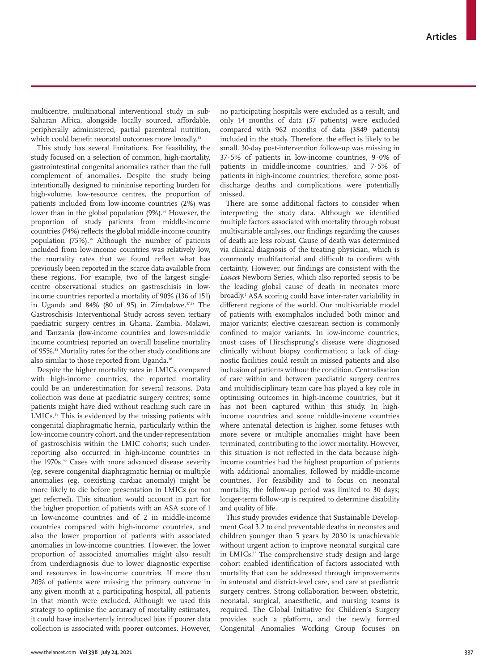multicentre, multinational interventional study in sub-Saharan Africa, alongside locally sourced, affordable, peripherally administered, partial parenteral nutrition, which could benefit neonatal outcomes more broadly.<sup>35</sup>

This study has several limitations. For feasibility, the study focused on a selection of common, high-mortality, gastrointestinal congenital anomalies rather than the full complement of anomalies. Despite the study being intentionally designed to minimise reporting burden for high-volume, low-resource centres, the proportion of patients included from low-income countries (2%) was lower than in the global population (9%).<sup>36</sup> However, the proportion of study patients from middle-income countries (74%) reflects the global middle-income country population (75%).<sup>36</sup> Although the number of patients included from low-income countries was relatively low, the mortality rates that we found reflect what has previously been reported in the scarce data available from these regions. For example, two of the largest singlecentre observational studies on gastroschisis in lowincome countries reported a mortality of 90% (136 of 151) in Uganda and 84% (80 of 95) in Zimbabwe. $37,38$  The Gastroschisis Interventional Study across seven tertiary paediatric surgery centres in Ghana, Zambia, Malawi, and Tanzania (low-income countries and lower-middle income countries) reported an overall baseline mortality of 95%.<sup>35</sup> Mortality rates for the other study conditions are also similar to those reported from Uganda.<sup>38</sup>

Despite the higher mortality rates in LMICs compared with high-income countries, the reported mortality could be an underestimation for several reasons. Data collection was done at paediatric surgery centres; some patients might have died without reaching such care in LMICs.<sup>39</sup> This is evidenced by the missing patients with congenital diaphragmatic hernia, particularly within the low-income country cohort, and the under-representation of gastroschisis within the LMIC cohorts; such underreporting also occurred in high-income countries in the 1970s.<sup>40</sup> Cases with more advanced disease severity (eg, severe congenital diaphragmatic hernia) or multiple anomalies (eg, coexisting cardiac anomaly) might be more likely to die before presentation in LMICs (or not get referred). This situation would account in part for the higher proportion of patients with an ASA score of 1 in low-income countries and of 2 in middle-income countries compared with high-income countries, and also the lower proportion of patients with associated anomalies in low-income countries. However, the lower proportion of associated anomalies might also result from underdiagnosis due to lower diagnostic expertise and resources in low-income countries. If more than 20% of patients were missing the primary outcome in any given month at a participating hospital, all patients in that month were excluded. Although we used this strategy to optimise the accuracy of mortality estimates, it could have inadvertently introduced bias if poorer data collection is associated with poorer outcomes. However, no participating hospitals were excluded as a result, and only 14 months of data (37 patients) were excluded compared with 962 months of data (3849 patients) included in the study. Therefore, the effect is likely to be small. 30-day post-intervention follow-up was missing in 37·5% of patients in low-income countries, 9·0% of patients in middle-income countries, and 7·5% of patients in high-income countries; therefore, some postdischarge deaths and complications were potentially missed.

There are some additional factors to consider when interpreting the study data. Although we identified multiple factors associated with mortality through robust multivariable analyses, our findings regarding the causes of death are less robust. Cause of death was determined via clinical diagnosis of the treating physician, which is commonly multifactorial and difficult to confirm with certainty. However, our findings are consistent with the *Lancet* Newborn Series, which also reported sepsis to be the leading global cause of death in neonates more broadly.1 ASA scoring could have inter-rater variability in different regions of the world. Our multivariable model of patients with exomphalos included both minor and major variants; elective caesarean section is commonly confined to major variants. In low-income countries, most cases of Hirschsprung's disease were diagnosed clinically without biopsy confirmation; a lack of diagnostic facilities could result in missed patients and also inclusion of patients without the condition. Centralisation of care within and between paediatric surgery centres and multidisciplinary team care has played a key role in optimising outcomes in high-income countries, but it has not been captured within this study. In highincome countries and some middle-income countries where antenatal detection is higher, some fetuses with more severe or multiple anomalies might have been terminated, contributing to the lower mortality. However, this situation is not reflected in the data because highincome countries had the highest proportion of patients with additional anomalies, followed by middle-income countries. For feasibility and to focus on neonatal mortality, the follow-up period was limited to 30 days; longer-term follow-up is required to determine disability and quality of life.

This study provides evidence that Sustainable Development Goal 3.2 to end preventable deaths in neonates and children younger than 5 years by 2030 is unachievable without urgent action to improve neonatal surgical care in LMICs.15 The comprehensive study design and large cohort enabled identification of factors associated with mortality that can be addressed through improvements in antenatal and district-level care, and care at paediatric surgery centres. Strong collaboration between obstetric, neonatal, surgical, anaesthetic, and nursing teams is required. The Global Initiative for Children's Surgery provides such a platform, and the newly formed Congenital Anomalies Working Group focuses on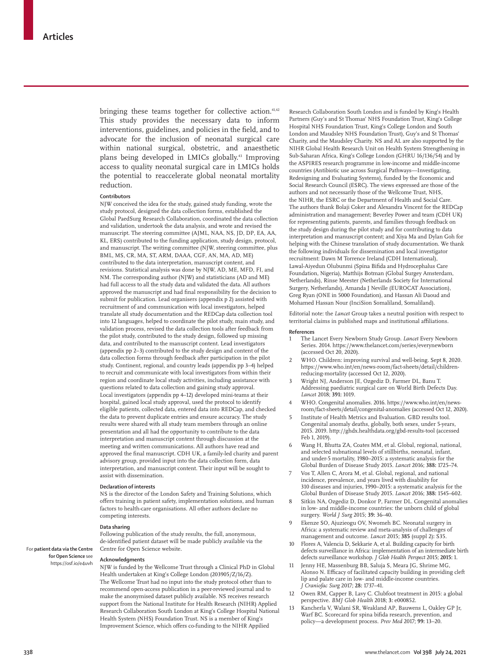bringing these teams together for collective action.<sup>41,42</sup> This study provides the necessary data to inform interventions, guidelines, and policies in the field, and to advocate for the inclusion of neonatal surgical care within national surgical, obstetric, and anaesthetic plans being developed in LMICs globally.<sup>43</sup> Improving access to quality neonatal surgical care in LMICs holds the potential to reaccelerate global neonatal mortality reduction.

#### **Contributors**

NJW conceived the idea for the study, gained study funding, wrote the study protocol, designed the data collection forms, established the Global PaedSurg Research Collaboration, coordinated the data collection and validation, undertook the data analysis, and wrote and revised the manuscript. The steering committee (AJML, NAA, NS, JD, DP, EA, AA, KL, ERS) contributed to the funding application, study design, protocol, and manuscript. The writing committee (NJW, steering committee, plus BML, MS, CR, MA, ST, ARM, DAAA, CGF, AN, MA, AD, ME) contributed to the data interpretation, manuscript content, and revisions. Statistical analysis was done by NJW, AD, ME, MFD, FI, and NM. The corresponding author (NJW) and statisticians (AD and ME) had full access to all the study data and validated the data. All authors approved the manuscript and had final responsibility for the decision to submit for publication. Lead organisers (appendix p 2) assisted with recruitment of and communication with local investigators, helped translate all study documentation and the REDCap data collection tool into 12 languages, helped to coordinate the pilot study, main study, and validation process, revised the data collection tools after feedback from the pilot study, contributed to the study design, followed up missing data, and contributed to the manuscript content. Lead investigators (appendix pp 2–3) contributed to the study design and content of the data collection forms through feedback after participation in the pilot study. Continent, regional, and country leads (appendix pp 3–4) helped to recruit and communicate with local investigators from within their region and coordinate local study activities, including assistance with questions related to data collection and gaining study approval. Local investigators (appendix pp 4–12) developed mini-teams at their hospital, gained local study approval, used the protocol to identify eligible patients, collected data, entered data into REDCap, and checked the data to prevent duplicate entries and ensure accuracy. The study results were shared with all study team members through an online presentation and all had the opportunity to contribute to the data interpretation and manuscript content through discussion at the meeting and written communications. All authors have read and approved the final manuscript. CDH UK, a family-led charity and parent advisory group, provided input into the data collection form, data interpretation, and manuscript content. Their input will be sought to assist with dissemination.

#### **Declaration of interests**

NS is the director of the London Safety and Training Solutions, which offers training in patient safety, implementation solutions, and human factors to health-care organisations. All other authors declare no competing interests.

#### **Data sharing**

Following publication of the study results, the full, anonymous, de-identified patient dataset will be made publicly available via the [Centre for Open Science website](https://osf.io/e4uvh).

## **Acknowledgments**

NJW is funded by the Wellcome Trust through a Clinical PhD in Global Health undertaken at King's College London (203905/Z/16/Z). The Wellcome Trust had no input into the study protocol other than to recommend open-access publication in a peer-reviewed journal and to make the anonymised dataset publicly available. NS receives research support from the National Institute for Health Research (NIHR) Applied Research Collaboration South London at King's College Hospital National Health System (NHS) Foundation Trust. NS is a member of King's Improvement Science, which offers co-funding to the NIHR Appilied

Research Collaboration South London and is funded by King's Health Partners (Guy's and St Thomas' NHS Foundation Trust, King's College Hospital NHS Foundation Trust, King's College London and South London and Maudsley NHS Foundation Trust), Guy's and St Thomas' Charity, and the Maudsley Charity. NS and AL are also supported by the NIHR Global Health Research Unit on Health System Strengthening in Sub-Saharan Africa, King's College London (GHRU 16/136/54) and by the ASPIRES research programme in low-income and middle-income countries (Antibiotic use across Surgical Pathways—Investigating, Redesigning and Evaluating Systems), funded by the Economic and Social Research Council (ESRC). The views expressed are those of the authors and not necessarily those of the Wellcome Trust, NHS, the NIHR, the ESRC or the Department of Health and Social Care. The authors thank Bolaji Coker and Alexandra Vincent for the REDCap administration and management; Beverley Power and team (CDH UK) for representing patients, parents, and families through feedback on the study design during the pilot study and for contributing to data interpretation and manuscript content; and Xiya Ma and Dylan Goh for helping with the Chinese translation of study documentation. We thank the following individuals for dissemination and local investigator recruitment: Dawn M Torrence Ireland (CDH International), Lawal-Aiyedun Olubunmi (Spina Bifida and Hydrocephalus Care Foundation, Nigeria), Matthijs Botman (Global Surgey Amsterdam, Netherlands), Rinse Meester (Netherlands Society for International Surgery, Netherlands), Amanda J Neville (EUROCAT Association), Greg Ryan (ONE in 5000 Foundation), and Hassan Ali Daoud and Mohamed Hassan Nour (InciSion Somaliland, Somaliland).

Editorial note: the *Lancet* Group takes a neutral position with respect to territorial claims in published maps and institutional affiliations.

#### **References**

- 1 The Lancet Every Newborn Study Group. *Lancet* Every Newborn Series. 2014. https://www.thelancet.com/series/everynewborn (accessed Oct 20, 2020).
- 2 WHO. Children: improving survival and well-being. Sept 8, 2020. https://www.who.int/en/news-room/fact-sheets/detail/childrenreducing-mortality (accessed Oct 12, 2020).
- 3 Wright NJ, Anderson JE, Ozgediz D, Farmer DL, Banu T. Addressing paediatric surgical care on World Birth Defects Day. *Lancet* 2018; **391:** 1019.
- 4 WHO. Congenital anomalies. 2016. https://www.who.int/en/newsroom/fact-sheets/detail/congenital-anomalies (accessed Oct 12, 2020).
- 5 Institute of Health Metrics and Evaluation. GBD results tool. Congenital anomaly deaths, globally, both sexes, under 5-years, 2015. 2019. http://ghdx.healthdata.org/gbd-results-tool (accessed Feb 1, 2019).
- 6 Wang H, Bhutta ZA, Coates MM, et al. Global, regional, national, and selected subnational levels of stillbirths, neonatal, infant, and under-5 mortality, 1980–2015: a systematic analysis for the Global Burden of Disease Study 2015. *Lancet* 2016; **388:** 1725–74.
- 7 Vos T, Allen C, Arora M, et al. Global, regional, and national incidence, prevalence, and years lived with disability for 310 diseases and injuries, 1990–2015: a systematic analysis for the Global Burden of Disease Study 2015. *Lancet* 2016; **388:** 1545–602.
- 8 Sitkin NA, Ozgediz D, Donkor P, Farmer DL. Congenital anomalies in low- and middle-income countries: the unborn child of global surgery. *World J Surg* 2015; **39:** 36–40.
- Ekenze SO, Ajuzieogu OV, Nwomeh BC. Neonatal surgery in Africa: a systematic review and meta-analysis of challenges of management and outcome. *Lancet* 2015; **385** (suppl 2)**:** S35.
- 10 Flores A, Valencia D, Sekkarie A, et al. Building capacity for birth defects surveillance in Africa: implementation of an intermediate birth defects surveillance workshop. *J Glob Health Perspect* 2015; **2015:** 1.
- 11 Jenny HE, Massenburg BB, Saluja S, Meara JG, Shrime MG, Alonso N. Efficacy of facilitated capacity building in providing cleft lip and palate care in low- and middle-income countries. *J Craniofac Surg* 2017; **28:** 1737–41.
- 12 Owen RM, Capper B, Lavy C. Clubfoot treatment in 2015: a global perspective. *BMJ Glob Health* 2018; **3:** e000852.
- 13 Kancherla V, Walani SR, Weakland AP, Bauwens L, Oakley GP Jr, Warf BC. Scorecard for spina bifida research, prevention, and policy—a development process. *Prev Med* 2017; **99:** 13–20.

For **patient data via the Centre**